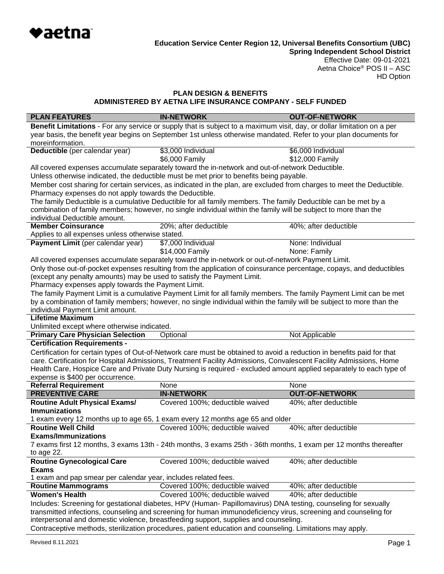

Effective Date: 09-01-2021 Aetna Choice® POS II – ASC HD Option

### **PLAN DESIGN & BENEFITS ADMINISTERED BY AETNA LIFE INSURANCE COMPANY - SELF FUNDED**

| <b>PLAN FEATURES</b>                                                                                                         | <b>IN-NETWORK</b>                                                                                                      | <b>OUT-OF-NETWORK</b> |  |  |
|------------------------------------------------------------------------------------------------------------------------------|------------------------------------------------------------------------------------------------------------------------|-----------------------|--|--|
|                                                                                                                              | Benefit Limitations - For any service or supply that is subject to a maximum visit, day, or dollar limitation on a per |                       |  |  |
|                                                                                                                              | year basis, the benefit year begins on September 1st unless otherwise mandated. Refer to your plan documents for       |                       |  |  |
| moreinformation.                                                                                                             |                                                                                                                        |                       |  |  |
| Deductible (per calendar year)                                                                                               | \$3,000 Individual                                                                                                     | \$6,000 Individual    |  |  |
|                                                                                                                              | \$6,000 Family                                                                                                         | \$12,000 Family       |  |  |
|                                                                                                                              | All covered expenses accumulate separately toward the in-network and out-of-network Deductible.                        |                       |  |  |
|                                                                                                                              | Unless otherwise indicated, the deductible must be met prior to benefits being payable.                                |                       |  |  |
|                                                                                                                              | Member cost sharing for certain services, as indicated in the plan, are excluded from charges to meet the Deductible.  |                       |  |  |
| Pharmacy expenses do not apply towards the Deductible.                                                                       |                                                                                                                        |                       |  |  |
|                                                                                                                              | The family Deductible is a cumulative Deductible for all family members. The family Deductible can be met by a         |                       |  |  |
|                                                                                                                              | combination of family members; however, no single individual within the family will be subject to more than the        |                       |  |  |
| individual Deductible amount.                                                                                                |                                                                                                                        |                       |  |  |
| <b>Member Coinsurance</b>                                                                                                    | 20%; after deductible                                                                                                  | 40%; after deductible |  |  |
| Applies to all expenses unless otherwise stated.                                                                             |                                                                                                                        |                       |  |  |
| Payment Limit (per calendar year)                                                                                            | \$7,000 Individual                                                                                                     | None: Individual      |  |  |
|                                                                                                                              | \$14,000 Family                                                                                                        | None: Family          |  |  |
|                                                                                                                              | All covered expenses accumulate separately toward the in-network or out-of-network Payment Limit.                      |                       |  |  |
|                                                                                                                              | Only those out-of-pocket expenses resulting from the application of coinsurance percentage, copays, and deductibles    |                       |  |  |
| (except any penalty amounts) may be used to satisfy the Payment Limit.<br>Pharmacy expenses apply towards the Payment Limit. |                                                                                                                        |                       |  |  |
|                                                                                                                              | The family Payment Limit is a cumulative Payment Limit for all family members. The family Payment Limit can be met     |                       |  |  |
|                                                                                                                              | by a combination of family members; however, no single individual within the family will be subject to more than the   |                       |  |  |
| individual Payment Limit amount.                                                                                             |                                                                                                                        |                       |  |  |
| <b>Lifetime Maximum</b>                                                                                                      |                                                                                                                        |                       |  |  |
| Unlimited except where otherwise indicated.                                                                                  |                                                                                                                        |                       |  |  |
| <b>Primary Care Physician Selection</b>                                                                                      | Optional                                                                                                               | Not Applicable        |  |  |
| <b>Certification Requirements -</b>                                                                                          |                                                                                                                        |                       |  |  |
|                                                                                                                              | Certification for certain types of Out-of-Network care must be obtained to avoid a reduction in benefits paid for that |                       |  |  |
|                                                                                                                              | care. Certification for Hospital Admissions, Treatment Facility Admissions, Convalescent Facility Admissions, Home     |                       |  |  |
|                                                                                                                              | Health Care, Hospice Care and Private Duty Nursing is required - excluded amount applied separately to each type of    |                       |  |  |
| expense is \$400 per occurrence.                                                                                             |                                                                                                                        |                       |  |  |
| <b>Referral Requirement</b>                                                                                                  | None                                                                                                                   | None                  |  |  |
| <b>PREVENTIVE CARE</b>                                                                                                       | <b>IN-NETWORK</b>                                                                                                      | <b>OUT-OF-NETWORK</b> |  |  |
| <b>Routine Adult Physical Exams/</b>                                                                                         | Covered 100%; deductible waived                                                                                        | 40%; after deductible |  |  |
| <b>Immunizations</b>                                                                                                         |                                                                                                                        |                       |  |  |
|                                                                                                                              | 1 exam every 12 months up to age 65, 1 exam every 12 months age 65 and older                                           |                       |  |  |
| <b>Routine Well Child</b>                                                                                                    | Covered 100%; deductible waived                                                                                        | 40%; after deductible |  |  |
| <b>Exams/Immunizations</b>                                                                                                   |                                                                                                                        |                       |  |  |
|                                                                                                                              | 7 exams first 12 months, 3 exams 13th - 24th months, 3 exams 25th - 36th months, 1 exam per 12 months thereafter       |                       |  |  |
| to age 22.                                                                                                                   |                                                                                                                        |                       |  |  |
| <b>Routine Gynecological Care</b>                                                                                            | Covered 100%; deductible waived                                                                                        | 40%; after deductible |  |  |
| <b>Exams</b>                                                                                                                 |                                                                                                                        |                       |  |  |
| 1 exam and pap smear per calendar year, includes related fees.                                                               |                                                                                                                        |                       |  |  |
| <b>Routine Mammograms</b>                                                                                                    | Covered 100%; deductible waived                                                                                        | 40%; after deductible |  |  |
| <b>Women's Health</b>                                                                                                        | Covered 100%; deductible waived                                                                                        | 40%; after deductible |  |  |
| Includes: Screening for gestational diabetes, HPV (Human- Papillomavirus) DNA testing, counseling for sexually               |                                                                                                                        |                       |  |  |
| transmitted infections, counseling and screening for human immunodeficiency virus, screening and counseling for              |                                                                                                                        |                       |  |  |
|                                                                                                                              | interpersonal and domestic violence, breastfeeding support, supplies and counseling.                                   |                       |  |  |
| Contraceptive methods, sterilization procedures, patient education and counseling. Limitations may apply.                    |                                                                                                                        |                       |  |  |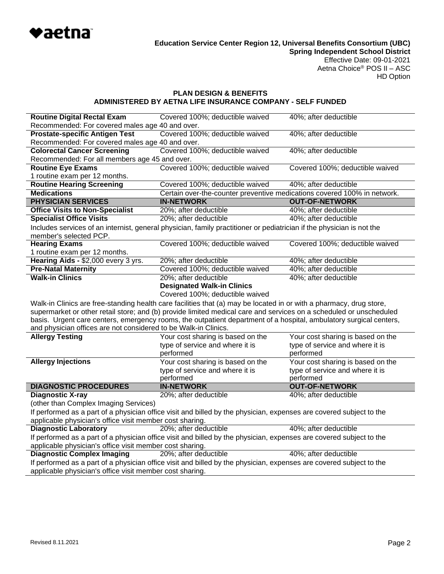

# HD Option

# **PLAN DESIGN & BENEFITS ADMINISTERED BY AETNA LIFE INSURANCE COMPANY - SELF FUNDED**

| <b>Routine Digital Rectal Exam</b>                                                                                  | Covered 100%; deductible waived                                                                                       | 40%; after deductible             |  |
|---------------------------------------------------------------------------------------------------------------------|-----------------------------------------------------------------------------------------------------------------------|-----------------------------------|--|
| Recommended: For covered males age 40 and over.                                                                     |                                                                                                                       |                                   |  |
| <b>Prostate-specific Antigen Test</b>                                                                               | Covered 100%; deductible waived                                                                                       | 40%; after deductible             |  |
| Recommended: For covered males age 40 and over.                                                                     |                                                                                                                       |                                   |  |
| <b>Colorectal Cancer Screening</b>                                                                                  | Covered 100%; deductible waived                                                                                       | 40%; after deductible             |  |
| Recommended: For all members age 45 and over.                                                                       |                                                                                                                       |                                   |  |
| <b>Routine Eye Exams</b>                                                                                            | Covered 100%; deductible waived                                                                                       | Covered 100%; deductible waived   |  |
| 1 routine exam per 12 months.                                                                                       |                                                                                                                       |                                   |  |
| <b>Routine Hearing Screening</b>                                                                                    | Covered 100%; deductible waived                                                                                       | 40%; after deductible             |  |
| <b>Medications</b>                                                                                                  | Certain over-the-counter preventive medications covered 100% in network.                                              |                                   |  |
| <b>PHYSICIAN SERVICES</b>                                                                                           | <b>IN-NETWORK</b>                                                                                                     | <b>OUT-OF-NETWORK</b>             |  |
| <b>Office Visits to Non-Specialist</b>                                                                              | 20%; after deductible                                                                                                 | 40%; after deductible             |  |
| <b>Specialist Office Visits</b>                                                                                     | 20%; after deductible                                                                                                 | 40%; after deductible             |  |
| member's selected PCP.                                                                                              | Includes services of an internist, general physician, family practitioner or pediatrician if the physician is not the |                                   |  |
| <b>Hearing Exams</b>                                                                                                | Covered 100%; deductible waived                                                                                       | Covered 100%; deductible waived   |  |
| 1 routine exam per 12 months.                                                                                       |                                                                                                                       |                                   |  |
| Hearing Aids - \$2,000 every 3 yrs.                                                                                 | 20%; after deductible                                                                                                 | 40%; after deductible             |  |
| <b>Pre-Natal Maternity</b>                                                                                          | Covered 100%; deductible waived                                                                                       | 40%; after deductible             |  |
| <b>Walk-in Clinics</b>                                                                                              | 20%; after deductible                                                                                                 | 40%; after deductible             |  |
|                                                                                                                     | <b>Designated Walk-in Clinics</b>                                                                                     |                                   |  |
|                                                                                                                     | Covered 100%; deductible waived                                                                                       |                                   |  |
|                                                                                                                     | Walk-in Clinics are free-standing health care facilities that (a) may be located in or with a pharmacy, drug store,   |                                   |  |
| supermarket or other retail store; and (b) provide limited medical care and services on a scheduled or unscheduled  |                                                                                                                       |                                   |  |
| basis. Urgent care centers, emergency rooms, the outpatient department of a hospital, ambulatory surgical centers,  |                                                                                                                       |                                   |  |
| and physician offices are not considered to be Walk-in Clinics.                                                     |                                                                                                                       |                                   |  |
| <b>Allergy Testing</b>                                                                                              | Your cost sharing is based on the                                                                                     | Your cost sharing is based on the |  |
|                                                                                                                     | type of service and where it is                                                                                       | type of service and where it is   |  |
|                                                                                                                     | performed                                                                                                             | performed                         |  |
| <b>Allergy Injections</b>                                                                                           | Your cost sharing is based on the                                                                                     | Your cost sharing is based on the |  |
|                                                                                                                     | type of service and where it is                                                                                       | type of service and where it is   |  |
|                                                                                                                     | performed                                                                                                             | performed                         |  |
| <b>DIAGNOSTIC PROCEDURES</b>                                                                                        | <b>IN-NETWORK</b>                                                                                                     | <b>OUT-OF-NETWORK</b>             |  |
| <b>Diagnostic X-ray</b>                                                                                             | 20%; after deductible                                                                                                 | 40%; after deductible             |  |
| (other than Complex Imaging Services)                                                                               |                                                                                                                       |                                   |  |
|                                                                                                                     | If performed as a part of a physician office visit and billed by the physician, expenses are covered subject to the   |                                   |  |
| applicable physician's office visit member cost sharing.                                                            |                                                                                                                       |                                   |  |
| <b>Diagnostic Laboratory</b>                                                                                        | 20%; after deductible                                                                                                 | 40%; after deductible             |  |
| If performed as a part of a physician office visit and billed by the physician, expenses are covered subject to the |                                                                                                                       |                                   |  |
| applicable physician's office visit member cost sharing.                                                            |                                                                                                                       |                                   |  |
|                                                                                                                     |                                                                                                                       |                                   |  |
| <b>Diagnostic Complex Imaging</b>                                                                                   | 20%; after deductible                                                                                                 | 40%; after deductible             |  |
| applicable physician's office visit member cost sharing.                                                            | If performed as a part of a physician office visit and billed by the physician, expenses are covered subject to the   |                                   |  |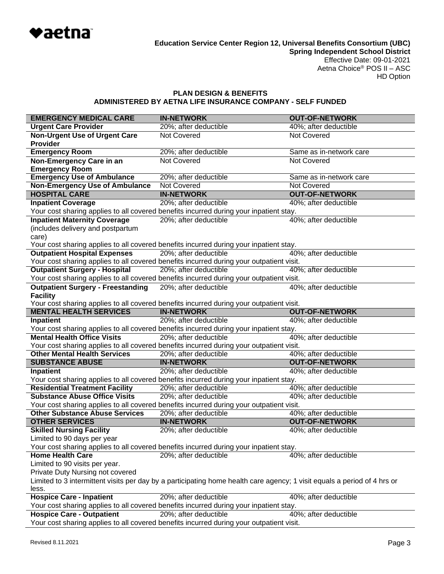

### **PLAN DESIGN & BENEFITS ADMINISTERED BY AETNA LIFE INSURANCE COMPANY - SELF FUNDED**

| <b>EMERGENCY MEDICAL CARE</b>                                                                                            | <b>IN-NETWORK</b>                                                                        | <b>OUT-OF-NETWORK</b>   |  |
|--------------------------------------------------------------------------------------------------------------------------|------------------------------------------------------------------------------------------|-------------------------|--|
| <b>Urgent Care Provider</b>                                                                                              | 20%; after deductible                                                                    | 40%; after deductible   |  |
| <b>Non-Urgent Use of Urgent Care</b>                                                                                     | <b>Not Covered</b>                                                                       | Not Covered             |  |
| <b>Provider</b>                                                                                                          |                                                                                          |                         |  |
| <b>Emergency Room</b>                                                                                                    | 20%; after deductible                                                                    | Same as in-network care |  |
| Non-Emergency Care in an                                                                                                 | <b>Not Covered</b>                                                                       | Not Covered             |  |
| <b>Emergency Room</b>                                                                                                    |                                                                                          |                         |  |
| <b>Emergency Use of Ambulance</b>                                                                                        | 20%; after deductible                                                                    | Same as in-network care |  |
| <b>Non-Emergency Use of Ambulance</b>                                                                                    | <b>Not Covered</b>                                                                       | Not Covered             |  |
| <b>HOSPITAL CARE</b>                                                                                                     | <b>IN-NETWORK</b>                                                                        | <b>OUT-OF-NETWORK</b>   |  |
| <b>Inpatient Coverage</b>                                                                                                | 20%; after deductible                                                                    | 40%; after deductible   |  |
|                                                                                                                          | Your cost sharing applies to all covered benefits incurred during your inpatient stay.   |                         |  |
| <b>Inpatient Maternity Coverage</b>                                                                                      | 20%; after deductible                                                                    | 40%; after deductible   |  |
| (includes delivery and postpartum                                                                                        |                                                                                          |                         |  |
| care)                                                                                                                    |                                                                                          |                         |  |
|                                                                                                                          | Your cost sharing applies to all covered benefits incurred during your inpatient stay.   |                         |  |
| <b>Outpatient Hospital Expenses</b>                                                                                      | 20%; after deductible                                                                    | 40%; after deductible   |  |
|                                                                                                                          | Your cost sharing applies to all covered benefits incurred during your outpatient visit. |                         |  |
| <b>Outpatient Surgery - Hospital</b>                                                                                     | 20%; after deductible                                                                    | 40%; after deductible   |  |
|                                                                                                                          | Your cost sharing applies to all covered benefits incurred during your outpatient visit. |                         |  |
| <b>Outpatient Surgery - Freestanding</b>                                                                                 | 20%; after deductible                                                                    | 40%; after deductible   |  |
| <b>Facility</b>                                                                                                          |                                                                                          |                         |  |
|                                                                                                                          | Your cost sharing applies to all covered benefits incurred during your outpatient visit. |                         |  |
| <b>MENTAL HEALTH SERVICES</b>                                                                                            | <b>IN-NETWORK</b>                                                                        | <b>OUT-OF-NETWORK</b>   |  |
| <b>Inpatient</b>                                                                                                         | 20%; after deductible                                                                    | 40%; after deductible   |  |
|                                                                                                                          | Your cost sharing applies to all covered benefits incurred during your inpatient stay.   |                         |  |
| <b>Mental Health Office Visits</b>                                                                                       | 20%; after deductible                                                                    | 40%; after deductible   |  |
|                                                                                                                          | Your cost sharing applies to all covered benefits incurred during your outpatient visit. |                         |  |
| <b>Other Mental Health Services</b>                                                                                      | 20%; after deductible                                                                    | 40%; after deductible   |  |
| <b>SUBSTANCE ABUSE</b>                                                                                                   | <b>IN-NETWORK</b>                                                                        | <b>OUT-OF-NETWORK</b>   |  |
| Inpatient                                                                                                                | 20%; after deductible                                                                    | 40%; after deductible   |  |
|                                                                                                                          | Your cost sharing applies to all covered benefits incurred during your inpatient stay.   |                         |  |
| <b>Residential Treatment Facility</b>                                                                                    | 20%; after deductible                                                                    | 40%; after deductible   |  |
| <b>Substance Abuse Office Visits</b>                                                                                     | 20%; after deductible                                                                    | 40%; after deductible   |  |
| Your cost sharing applies to all covered benefits incurred during your outpatient visit.                                 |                                                                                          |                         |  |
| <b>Other Substance Abuse Services</b>                                                                                    | 20%; after deductible                                                                    | 40%; after deductible   |  |
| <b>OTHER SERVICES</b>                                                                                                    | <b>IN-NETWORK</b>                                                                        | <b>OUT-OF-NETWORK</b>   |  |
| <b>Skilled Nursing Facility</b>                                                                                          | 20%; after deductible                                                                    | 40%; after deductible   |  |
| Limited to 90 days per year                                                                                              |                                                                                          |                         |  |
|                                                                                                                          | Your cost sharing applies to all covered benefits incurred during your inpatient stay.   |                         |  |
| <b>Home Health Care</b>                                                                                                  | 20%; after deductible                                                                    | 40%; after deductible   |  |
| Limited to 90 visits per year.                                                                                           |                                                                                          |                         |  |
| Private Duty Nursing not covered                                                                                         |                                                                                          |                         |  |
| Limited to 3 intermittent visits per day by a participating home health care agency; 1 visit equals a period of 4 hrs or |                                                                                          |                         |  |
| less.                                                                                                                    |                                                                                          |                         |  |
| <b>Hospice Care - Inpatient</b>                                                                                          | 20%; after deductible                                                                    | 40%; after deductible   |  |
|                                                                                                                          | Your cost sharing applies to all covered benefits incurred during your inpatient stay.   |                         |  |
| <b>Hospice Care - Outpatient</b>                                                                                         | 20%; after deductible                                                                    | 40%; after deductible   |  |

Your cost sharing applies to all covered benefits incurred during your outpatient visit.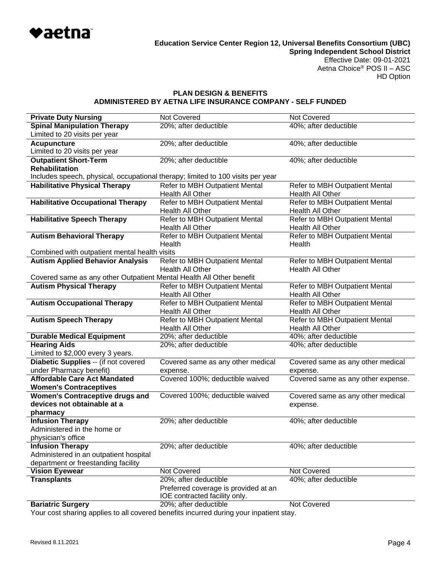

### **PLAN DESIGN & BENEFITS ADMINISTERED BY AETNA LIFE INSURANCE COMPANY - SELF FUNDED**

| <b>Private Duty Nursing</b>                                                     | <b>Not Covered</b>                   | <b>Not Covered</b>                 |  |
|---------------------------------------------------------------------------------|--------------------------------------|------------------------------------|--|
| <b>Spinal Manipulation Therapy</b>                                              | 20%; after deductible                | 40%; after deductible              |  |
| Limited to 20 visits per year                                                   |                                      |                                    |  |
| <b>Acupuncture</b><br>Limited to 20 visits per year                             | 20%; after deductible                | 40%; after deductible              |  |
| <b>Outpatient Short-Term</b><br><b>Rehabilitation</b>                           | 20%; after deductible                | 40%; after deductible              |  |
| Includes speech, physical, occupational therapy; limited to 100 visits per year |                                      |                                    |  |
| <b>Habilitative Physical Therapy</b>                                            | Refer to MBH Outpatient Mental       | Refer to MBH Outpatient Mental     |  |
|                                                                                 | Health All Other                     | Health All Other                   |  |
| <b>Habilitative Occupational Therapy</b>                                        | Refer to MBH Outpatient Mental       | Refer to MBH Outpatient Mental     |  |
|                                                                                 | Health All Other                     | Health All Other                   |  |
| <b>Habilitative Speech Therapy</b>                                              | Refer to MBH Outpatient Mental       | Refer to MBH Outpatient Mental     |  |
|                                                                                 | Health All Other                     | Health All Other                   |  |
| <b>Autism Behavioral Therapy</b>                                                | Refer to MBH Outpatient Mental       | Refer to MBH Outpatient Mental     |  |
|                                                                                 | Health                               | Health                             |  |
| Combined with outpatient mental health visits                                   |                                      |                                    |  |
| <b>Autism Applied Behavior Analysis</b>                                         | Refer to MBH Outpatient Mental       | Refer to MBH Outpatient Mental     |  |
|                                                                                 | <b>Health All Other</b>              | Health All Other                   |  |
| Covered same as any other Outpatient Mental Health All Other benefit            |                                      |                                    |  |
| <b>Autism Physical Therapy</b>                                                  | Refer to MBH Outpatient Mental       | Refer to MBH Outpatient Mental     |  |
|                                                                                 | Health All Other                     | Health All Other                   |  |
| <b>Autism Occupational Therapy</b>                                              | Refer to MBH Outpatient Mental       | Refer to MBH Outpatient Mental     |  |
|                                                                                 | Health All Other                     | Health All Other                   |  |
| <b>Autism Speech Therapy</b>                                                    | Refer to MBH Outpatient Mental       | Refer to MBH Outpatient Mental     |  |
|                                                                                 | Health All Other                     | Health All Other                   |  |
| <b>Durable Medical Equipment</b>                                                | 20%; after deductible                | 40%; after deductible              |  |
| <b>Hearing Aids</b>                                                             | 20%; after deductible                | 40%; after deductible              |  |
| Limited to \$2,000 every 3 years.                                               |                                      |                                    |  |
| Diabetic Supplies -- (if not covered                                            | Covered same as any other medical    | Covered same as any other medical  |  |
| under Pharmacy benefit)                                                         | expense.                             | expense.                           |  |
| <b>Affordable Care Act Mandated</b>                                             | Covered 100%; deductible waived      | Covered same as any other expense. |  |
| <b>Women's Contraceptives</b>                                                   |                                      |                                    |  |
| <b>Women's Contraceptive drugs and</b>                                          | Covered 100%; deductible waived      | Covered same as any other medical  |  |
| devices not obtainable at a                                                     |                                      | expense.                           |  |
| pharmacy                                                                        |                                      |                                    |  |
| <b>Infusion Therapy</b>                                                         | 20%; after deductible                | 40%; after deductible              |  |
| Administered in the home or                                                     |                                      |                                    |  |
| physician's office                                                              |                                      |                                    |  |
| <b>Infusion Therapy</b>                                                         | 20%; after deductible                | 40%; after deductible              |  |
| Administered in an outpatient hospital                                          |                                      |                                    |  |
| department or freestanding facility                                             |                                      |                                    |  |
| <b>Vision Eyewear</b>                                                           | Not Covered                          | <b>Not Covered</b>                 |  |
| <b>Transplants</b>                                                              | 20%; after deductible                | 40%; after deductible              |  |
|                                                                                 | Preferred coverage is provided at an |                                    |  |
|                                                                                 | IOE contracted facility only.        |                                    |  |
| <b>Bariatric Surgery</b>                                                        | 20%; after deductible                | Not Covered                        |  |
|                                                                                 |                                      |                                    |  |

Your cost sharing applies to all covered benefits incurred during your inpatient stay.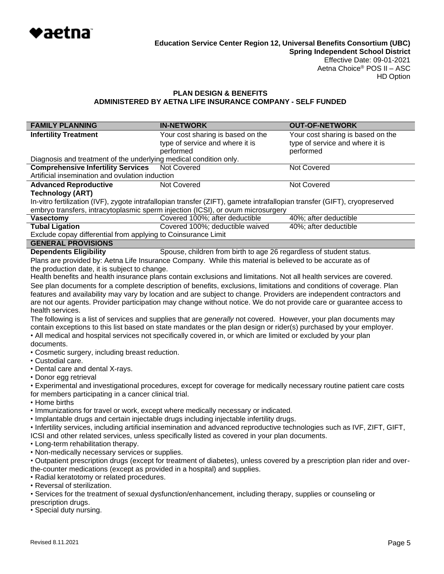

# **PLAN DESIGN & BENEFITS ADMINISTERED BY AETNA LIFE INSURANCE COMPANY - SELF FUNDED**

| <b>FAMILY PLANNING</b>                                                                                                                                                                                                               | <b>IN-NETWORK</b>                                                                                                         | <b>OUT-OF-NETWORK</b>             |  |
|--------------------------------------------------------------------------------------------------------------------------------------------------------------------------------------------------------------------------------------|---------------------------------------------------------------------------------------------------------------------------|-----------------------------------|--|
| <b>Infertility Treatment</b>                                                                                                                                                                                                         | Your cost sharing is based on the                                                                                         | Your cost sharing is based on the |  |
|                                                                                                                                                                                                                                      | type of service and where it is                                                                                           | type of service and where it is   |  |
| Diagnosis and treatment of the underlying medical condition only.                                                                                                                                                                    | performed                                                                                                                 | performed                         |  |
| <b>Comprehensive Infertility Services</b>                                                                                                                                                                                            | <b>Not Covered</b>                                                                                                        | <b>Not Covered</b>                |  |
| Artificial insemination and ovulation induction                                                                                                                                                                                      |                                                                                                                           |                                   |  |
| <b>Advanced Reproductive</b>                                                                                                                                                                                                         | Not Covered                                                                                                               | Not Covered                       |  |
| <b>Technology (ART)</b>                                                                                                                                                                                                              |                                                                                                                           |                                   |  |
|                                                                                                                                                                                                                                      | In-vitro fertilization (IVF), zygote intrafallopian transfer (ZIFT), gamete intrafallopian transfer (GIFT), cryopreserved |                                   |  |
| <b>Vasectomy</b>                                                                                                                                                                                                                     | embryo transfers, intracytoplasmic sperm injection (ICSI), or ovum microsurgery<br>Covered 100%; after deductible         | 40%; after deductible             |  |
| <b>Tubal Ligation</b>                                                                                                                                                                                                                | Covered 100%; deductible waived                                                                                           | 40%; after deductible             |  |
| Exclude copay differential from applying to Coinsurance Limit                                                                                                                                                                        |                                                                                                                           |                                   |  |
| <b>GENERAL PROVISIONS</b>                                                                                                                                                                                                            |                                                                                                                           |                                   |  |
| <b>Dependents Eligibility</b>                                                                                                                                                                                                        | Spouse, children from birth to age 26 regardless of student status.                                                       |                                   |  |
|                                                                                                                                                                                                                                      | Plans are provided by: Aetna Life Insurance Company. While this material is believed to be accurate as of                 |                                   |  |
| the production date, it is subject to change.                                                                                                                                                                                        |                                                                                                                           |                                   |  |
|                                                                                                                                                                                                                                      | Health benefits and health insurance plans contain exclusions and limitations. Not all health services are covered.       |                                   |  |
|                                                                                                                                                                                                                                      | See plan documents for a complete description of benefits, exclusions, limitations and conditions of coverage. Plan       |                                   |  |
|                                                                                                                                                                                                                                      | features and availability may vary by location and are subject to change. Providers are independent contractors and       |                                   |  |
|                                                                                                                                                                                                                                      | are not our agents. Provider participation may change without notice. We do not provide care or guarantee access to       |                                   |  |
| health services.                                                                                                                                                                                                                     |                                                                                                                           |                                   |  |
| The following is a list of services and supplies that are <i>generally</i> not covered. However, your plan documents may                                                                                                             |                                                                                                                           |                                   |  |
| contain exceptions to this list based on state mandates or the plan design or rider(s) purchased by your employer.<br>• All medical and hospital services not specifically covered in, or which are limited or excluded by your plan |                                                                                                                           |                                   |  |
| documents.                                                                                                                                                                                                                           |                                                                                                                           |                                   |  |
| • Cosmetic surgery, including breast reduction.                                                                                                                                                                                      |                                                                                                                           |                                   |  |
| • Custodial care.                                                                                                                                                                                                                    |                                                                                                                           |                                   |  |
| • Dental care and dental X-rays.                                                                                                                                                                                                     |                                                                                                                           |                                   |  |
| • Donor egg retrieval                                                                                                                                                                                                                |                                                                                                                           |                                   |  |
| • Experimental and investigational procedures, except for coverage for medically necessary routine patient care costs                                                                                                                |                                                                                                                           |                                   |  |
| for members participating in a cancer clinical trial.                                                                                                                                                                                |                                                                                                                           |                                   |  |
| • Home births                                                                                                                                                                                                                        | . Immunizations for travel or work, except where medically necessary or indicated.                                        |                                   |  |
|                                                                                                                                                                                                                                      | . Implantable drugs and certain injectable drugs including injectable infertility drugs.                                  |                                   |  |
|                                                                                                                                                                                                                                      |                                                                                                                           |                                   |  |
| · Infertility services, including artificial insemination and advanced reproductive technologies such as IVF, ZIFT, GIFT,<br>ICSI and other related services, unless specifically listed as covered in your plan documents.          |                                                                                                                           |                                   |  |
| • Long-term rehabilitation therapy.                                                                                                                                                                                                  |                                                                                                                           |                                   |  |
| . Non-medically necessary services or supplies.                                                                                                                                                                                      |                                                                                                                           |                                   |  |
| • Outpatient prescription drugs (except for treatment of diabetes), unless covered by a prescription plan rider and over-                                                                                                            |                                                                                                                           |                                   |  |
| the-counter medications (except as provided in a hospital) and supplies.                                                                                                                                                             |                                                                                                                           |                                   |  |
| • Radial keratotomy or related procedures.                                                                                                                                                                                           |                                                                                                                           |                                   |  |
| • Reversal of sterilization.                                                                                                                                                                                                         |                                                                                                                           |                                   |  |
| • Services for the treatment of sexual dysfunction/enhancement, including therapy, supplies or counseling or                                                                                                                         |                                                                                                                           |                                   |  |
| prescription drugs.                                                                                                                                                                                                                  |                                                                                                                           |                                   |  |

• Special duty nursing.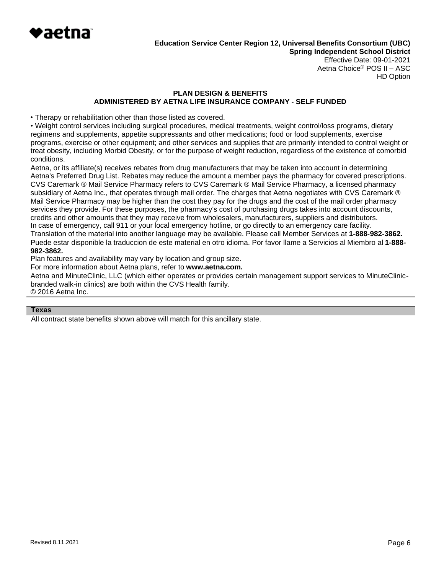

HD Option

# **PLAN DESIGN & BENEFITS ADMINISTERED BY AETNA LIFE INSURANCE COMPANY - SELF FUNDED**

• Therapy or rehabilitation other than those listed as covered.

• Weight control services including surgical procedures, medical treatments, weight control/loss programs, dietary regimens and supplements, appetite suppressants and other medications; food or food supplements, exercise programs, exercise or other equipment; and other services and supplies that are primarily intended to control weight or treat obesity, including Morbid Obesity, or for the purpose of weight reduction, regardless of the existence of comorbid conditions.

Aetna, or its affiliate(s) receives rebates from drug manufacturers that may be taken into account in determining Aetna's Preferred Drug List. Rebates may reduce the amount a member pays the pharmacy for covered prescriptions. CVS Caremark ® Mail Service Pharmacy refers to CVS Caremark ® Mail Service Pharmacy, a licensed pharmacy subsidiary of Aetna Inc., that operates through mail order. The charges that Aetna negotiates with CVS Caremark ® Mail Service Pharmacy may be higher than the cost they pay for the drugs and the cost of the mail order pharmacy services they provide. For these purposes, the pharmacy's cost of purchasing drugs takes into account discounts, credits and other amounts that they may receive from wholesalers, manufacturers, suppliers and distributors. In case of emergency, call 911 or your local emergency hotline, or go directly to an emergency care facility. Translation of the material into another language may be available. Please call Member Services at **1-888-982-3862.** Puede estar disponible la traduccion de este material en otro idioma. Por favor llame a Servicios al Miembro al **1-888- 982-3862.**

Plan features and availability may vary by location and group size.

For more information about Aetna plans, refer to **[www.aetna.com.](http://www.aetna.com/)**

Aetna and MinuteClinic, LLC (which either operates or provides certain management support services to MinuteClinicbranded walk-in clinics) are both within the CVS Health family. © 2016 Aetna Inc.

#### **Texas**

All contract state benefits shown above will match for this ancillary state.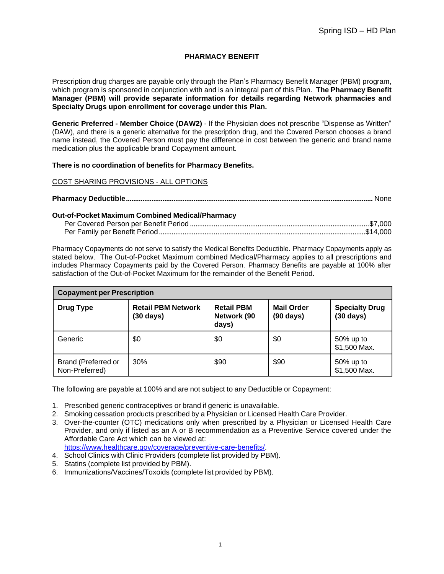# **PHARMACY BENEFIT**

Prescription drug charges are payable only through the Plan's Pharmacy Benefit Manager (PBM) program, which program is sponsored in conjunction with and is an integral part of this Plan. **The Pharmacy Benefit Manager (PBM) will provide separate information for details regarding Network pharmacies and Specialty Drugs upon enrollment for coverage under this Plan.**

**Generic Preferred - Member Choice (DAW2)** - If the Physician does not prescribe "Dispense as Written" (DAW), and there is a generic alternative for the prescription drug, and the Covered Person chooses a brand name instead, the Covered Person must pay the difference in cost between the generic and brand name medication plus the applicable brand Copayment amount.

### **There is no coordination of benefits for Pharmacy Benefits.**

## COST SHARING PROVISIONS - ALL OPTIONS

|--|

#### **Out-of-Pocket Maximum Combined Medical/Pharmacy**

Pharmacy Copayments do not serve to satisfy the Medical Benefits Deductible. Pharmacy Copayments apply as stated below. The Out-of-Pocket Maximum combined Medical/Pharmacy applies to all prescriptions and includes Pharmacy Copayments paid by the Covered Person. Pharmacy Benefits are payable at 100% after satisfaction of the Out-of-Pocket Maximum for the remainder of the Benefit Period.

| <b>Copayment per Prescription</b>     |                                                  |                                           |                                          |                                              |
|---------------------------------------|--------------------------------------------------|-------------------------------------------|------------------------------------------|----------------------------------------------|
| <b>Drug Type</b>                      | <b>Retail PBM Network</b><br>$(30 \text{ days})$ | <b>Retail PBM</b><br>Network (90<br>days) | <b>Mail Order</b><br>$(90 \text{ days})$ | <b>Specialty Drug</b><br>$(30 \text{ days})$ |
| Generic                               | \$0                                              | \$0                                       | \$0                                      | 50% up to<br>\$1,500 Max.                    |
| Brand (Preferred or<br>Non-Preferred) | 30%                                              | \$90                                      | \$90                                     | 50% up to<br>\$1,500 Max.                    |

The following are payable at 100% and are not subject to any Deductible or Copayment:

- 1. Prescribed generic contraceptives or brand if generic is unavailable.
- 2. Smoking cessation products prescribed by a Physician or Licensed Health Care Provider.
- 3. Over-the-counter (OTC) medications only when prescribed by a Physician or Licensed Health Care Provider, and only if listed as an A or B recommendation as a Preventive Service covered under the Affordable Care Act which can be viewed at: [https://www.healthcare.gov/coverage/preventive-care-benefits/.](http://www.healthcare.gov/coverage/preventive-care-benefits/)
- 4. School Clinics with Clinic Providers (complete list provided by PBM).
- 5. Statins (complete list provided by PBM).
- 6. Immunizations/Vaccines/Toxoids (complete list provided by PBM).